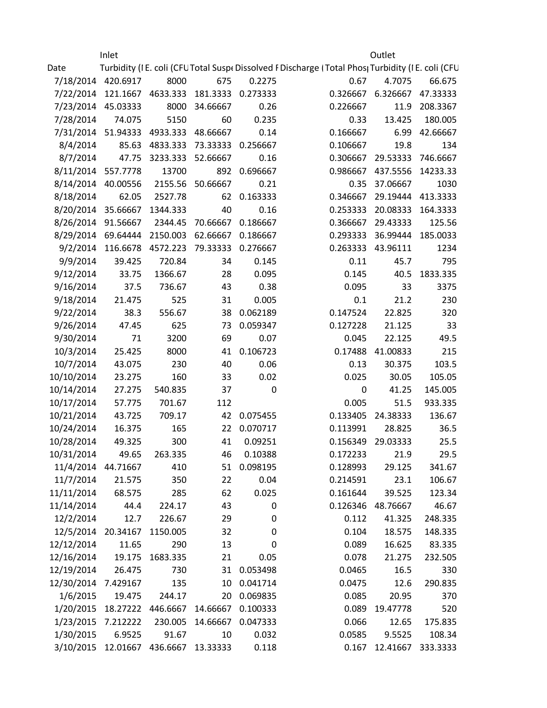|                    | Inlet                                |                         |                  |             |                                                                                                   | Outlet            |          |  |
|--------------------|--------------------------------------|-------------------------|------------------|-------------|---------------------------------------------------------------------------------------------------|-------------------|----------|--|
| Date               |                                      |                         |                  |             | Turbidity (I E. coli (CFU Total Suspe Dissolved F Discharge (Total Phos Turbidity (I E. coli (CFU |                   |          |  |
| 7/18/2014 420.6917 |                                      | 8000                    | 675              | 0.2275      | 0.67                                                                                              | 4.7075            | 66.675   |  |
|                    | 7/22/2014 121.1667 4633.333          |                         | 181.3333         | 0.273333    | 0.326667                                                                                          | 6.326667          | 47.33333 |  |
| 7/23/2014 45.03333 |                                      | 8000                    | 34.66667         | 0.26        | 0.226667                                                                                          | 11.9              | 208.3367 |  |
| 7/28/2014          | 74.075                               | 5150                    | 60               | 0.235       | 0.33                                                                                              | 13.425            | 180.005  |  |
|                    | 7/31/2014 51.94333 4933.333 48.66667 |                         |                  | 0.14        | 0.166667                                                                                          | 6.99              | 42.66667 |  |
| 8/4/2014           |                                      | 85.63 4833.333 73.33333 |                  | 0.256667    | 0.106667                                                                                          | 19.8              | 134      |  |
| 8/7/2014           | 47.75                                | 3233.333                | 52.66667         | 0.16        |                                                                                                   | 0.306667 29.53333 | 746.6667 |  |
| 8/11/2014 557.7778 |                                      | 13700                   | 892              | 0.696667    | 0.986667                                                                                          | 437.5556          | 14233.33 |  |
| 8/14/2014 40.00556 |                                      |                         | 2155.56 50.66667 | 0.21        | 0.35                                                                                              | 37.06667          | 1030     |  |
| 8/18/2014          | 62.05                                | 2527.78                 | 62               | 0.163333    | 0.346667                                                                                          | 29.19444          | 413.3333 |  |
| 8/20/2014 35.66667 |                                      | 1344.333                | 40               | 0.16        |                                                                                                   | 0.253333 20.08333 | 164.3333 |  |
| 8/26/2014 91.56667 |                                      | 2344.45                 | 70.66667         | 0.186667    | 0.366667                                                                                          | 29.43333          | 125.56   |  |
| 8/29/2014 69.64444 |                                      | 2150.003                | 62.66667         | 0.186667    | 0.293333                                                                                          | 36.99444          | 185.0033 |  |
|                    | 9/2/2014 116.6678                    | 4572.223                | 79.33333         | 0.276667    |                                                                                                   | 0.263333 43.96111 | 1234     |  |
| 9/9/2014           | 39.425                               | 720.84                  | 34               | 0.145       | 0.11                                                                                              | 45.7              | 795      |  |
| 9/12/2014          | 33.75                                | 1366.67                 | 28               | 0.095       | 0.145                                                                                             | 40.5              | 1833.335 |  |
| 9/16/2014          | 37.5                                 | 736.67                  | 43               | 0.38        | 0.095                                                                                             | 33                | 3375     |  |
| 9/18/2014          | 21.475                               | 525                     | 31               | 0.005       | 0.1                                                                                               | 21.2              | 230      |  |
| 9/22/2014          | 38.3                                 | 556.67                  | 38               | 0.062189    | 0.147524                                                                                          | 22.825            | 320      |  |
| 9/26/2014          | 47.45                                | 625                     | 73               | 0.059347    | 0.127228                                                                                          | 21.125            | 33       |  |
| 9/30/2014          | 71                                   | 3200                    | 69               | 0.07        | 0.045                                                                                             | 22.125            | 49.5     |  |
| 10/3/2014          | 25.425                               | 8000                    | 41               | 0.106723    | 0.17488                                                                                           | 41.00833          | 215      |  |
| 10/7/2014          | 43.075                               | 230                     | 40               | 0.06        | 0.13                                                                                              | 30.375            | 103.5    |  |
| 10/10/2014         | 23.275                               | 160                     | 33               | 0.02        | 0.025                                                                                             | 30.05             | 105.05   |  |
| 10/14/2014         | 27.275                               | 540.835                 | 37               | $\pmb{0}$   | $\pmb{0}$                                                                                         | 41.25             | 145.005  |  |
| 10/17/2014         | 57.775                               | 701.67                  | 112              |             | 0.005                                                                                             | 51.5              | 933.335  |  |
| 10/21/2014         | 43.725                               | 709.17                  | 42               | 0.075455    | 0.133405                                                                                          | 24.38333          | 136.67   |  |
| 10/24/2014         | 16.375                               | 165                     | 22               | 0.070717    | 0.113991                                                                                          | 28.825            | 36.5     |  |
| 10/28/2014         | 49.325                               | 300                     | 41               | 0.09251     |                                                                                                   | 0.156349 29.03333 | 25.5     |  |
| 10/31/2014         | 49.65                                | 263.335                 | 46               | 0.10388     | 0.172233                                                                                          | 21.9              | 29.5     |  |
| 11/4/2014 44.71667 |                                      | 410                     | 51               | 0.098195    | 0.128993                                                                                          | 29.125            | 341.67   |  |
| 11/7/2014          | 21.575                               | 350                     | 22               | 0.04        | 0.214591                                                                                          | 23.1              | 106.67   |  |
| 11/11/2014         | 68.575                               | 285                     | 62               | 0.025       | 0.161644                                                                                          | 39.525            | 123.34   |  |
| 11/14/2014         | 44.4                                 | 224.17                  | 43               | 0           | 0.126346                                                                                          | 48.76667          | 46.67    |  |
| 12/2/2014          | 12.7                                 | 226.67                  | 29               | $\mathbf 0$ | 0.112                                                                                             | 41.325            | 248.335  |  |
| 12/5/2014 20.34167 |                                      | 1150.005                | 32               | 0           | 0.104                                                                                             | 18.575            | 148.335  |  |
| 12/12/2014         | 11.65                                | 290                     | 13               | 0           | 0.089                                                                                             | 16.625            | 83.335   |  |
| 12/16/2014         | 19.175                               | 1683.335                | 21               | 0.05        | 0.078                                                                                             | 21.275            | 232.505  |  |
| 12/19/2014         | 26.475                               | 730                     | 31               | 0.053498    | 0.0465                                                                                            | 16.5              | 330      |  |
| 12/30/2014         | 7.429167                             | 135                     | 10               | 0.041714    | 0.0475                                                                                            | 12.6              | 290.835  |  |
| 1/6/2015           | 19.475                               | 244.17                  | 20               | 0.069835    | 0.085                                                                                             | 20.95             | 370      |  |
| 1/20/2015          | 18.27222                             | 446.6667                | 14.66667         | 0.100333    | 0.089                                                                                             | 19.47778          | 520      |  |
| 1/23/2015 7.212222 |                                      | 230.005                 | 14.66667         | 0.047333    | 0.066                                                                                             | 12.65             | 175.835  |  |
| 1/30/2015          | 6.9525                               | 91.67                   | 10               | 0.032       | 0.0585                                                                                            | 9.5525            | 108.34   |  |
| 3/10/2015          | 12.01667                             | 436.6667                | 13.33333         | 0.118       | 0.167                                                                                             | 12.41667          | 333.3333 |  |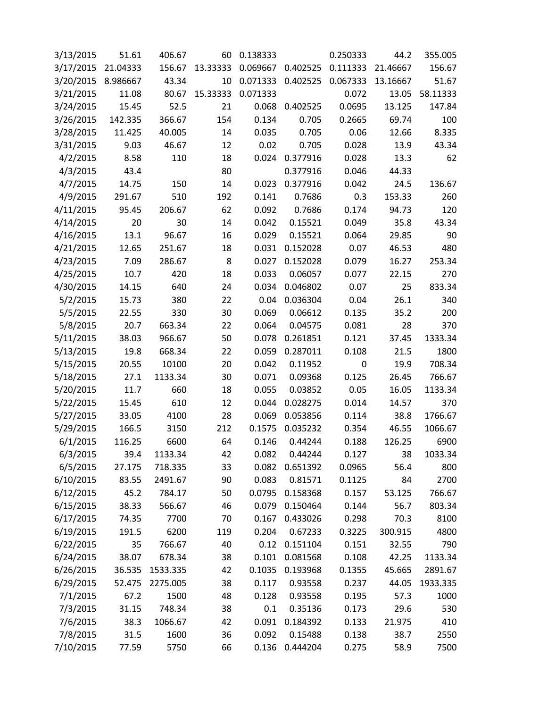| 3/13/2015 | 51.61    | 406.67   | 60       | 0.138333 |          | 0.250333 | 44.2     | 355.005  |
|-----------|----------|----------|----------|----------|----------|----------|----------|----------|
| 3/17/2015 | 21.04333 | 156.67   | 13.33333 | 0.069667 | 0.402525 | 0.111333 | 21.46667 | 156.67   |
| 3/20/2015 | 8.986667 | 43.34    | 10       | 0.071333 | 0.402525 | 0.067333 | 13.16667 | 51.67    |
| 3/21/2015 | 11.08    | 80.67    | 15.33333 | 0.071333 |          | 0.072    | 13.05    | 58.11333 |
| 3/24/2015 | 15.45    | 52.5     | 21       | 0.068    | 0.402525 | 0.0695   | 13.125   | 147.84   |
| 3/26/2015 | 142.335  | 366.67   | 154      | 0.134    | 0.705    | 0.2665   | 69.74    | 100      |
| 3/28/2015 | 11.425   | 40.005   | 14       | 0.035    | 0.705    | 0.06     | 12.66    | 8.335    |
| 3/31/2015 | 9.03     | 46.67    | 12       | 0.02     | 0.705    | 0.028    | 13.9     | 43.34    |
| 4/2/2015  | 8.58     | 110      | 18       | 0.024    | 0.377916 | 0.028    | 13.3     | 62       |
| 4/3/2015  | 43.4     |          | 80       |          | 0.377916 | 0.046    | 44.33    |          |
| 4/7/2015  | 14.75    | 150      | 14       | 0.023    | 0.377916 | 0.042    | 24.5     | 136.67   |
| 4/9/2015  | 291.67   | 510      | 192      | 0.141    | 0.7686   | 0.3      | 153.33   | 260      |
| 4/11/2015 | 95.45    | 206.67   | 62       | 0.092    | 0.7686   | 0.174    | 94.73    | 120      |
| 4/14/2015 | 20       | 30       | 14       | 0.042    | 0.15521  | 0.049    | 35.8     | 43.34    |
| 4/16/2015 | 13.1     | 96.67    | 16       | 0.029    | 0.15521  | 0.064    | 29.85    | 90       |
| 4/21/2015 | 12.65    | 251.67   | 18       | 0.031    | 0.152028 | 0.07     | 46.53    | 480      |
| 4/23/2015 | 7.09     | 286.67   | 8        | 0.027    | 0.152028 | 0.079    | 16.27    | 253.34   |
| 4/25/2015 | 10.7     | 420      | 18       | 0.033    | 0.06057  | 0.077    | 22.15    | 270      |
| 4/30/2015 | 14.15    | 640      | 24       | 0.034    | 0.046802 | 0.07     | 25       | 833.34   |
| 5/2/2015  | 15.73    | 380      | 22       | 0.04     | 0.036304 | 0.04     | 26.1     | 340      |
| 5/5/2015  | 22.55    | 330      | 30       | 0.069    | 0.06612  | 0.135    | 35.2     | 200      |
| 5/8/2015  | 20.7     | 663.34   | 22       | 0.064    | 0.04575  | 0.081    | 28       | 370      |
| 5/11/2015 | 38.03    | 966.67   | 50       | 0.078    | 0.261851 | 0.121    | 37.45    | 1333.34  |
| 5/13/2015 | 19.8     | 668.34   | 22       | 0.059    | 0.287011 | 0.108    | 21.5     | 1800     |
| 5/15/2015 | 20.55    | 10100    | 20       | 0.042    | 0.11952  | 0        | 19.9     | 708.34   |
| 5/18/2015 | 27.1     | 1133.34  | 30       | 0.071    | 0.09368  | 0.125    | 26.45    | 766.67   |
| 5/20/2015 | 11.7     | 660      | 18       | 0.055    | 0.03852  | 0.05     | 16.05    | 1133.34  |
| 5/22/2015 | 15.45    | 610      | 12       | 0.044    | 0.028275 | 0.014    | 14.57    | 370      |
| 5/27/2015 | 33.05    | 4100     | 28       | 0.069    | 0.053856 | 0.114    | 38.8     | 1766.67  |
| 5/29/2015 | 166.5    | 3150     | 212      | 0.1575   | 0.035232 | 0.354    | 46.55    | 1066.67  |
| 6/1/2015  | 116.25   | 6600     | 64       | 0.146    | 0.44244  | 0.188    | 126.25   | 6900     |
| 6/3/2015  | 39.4     | 1133.34  | 42       | 0.082    | 0.44244  | 0.127    | 38       | 1033.34  |
| 6/5/2015  | 27.175   | 718.335  | 33       | 0.082    | 0.651392 | 0.0965   | 56.4     | 800      |
| 6/10/2015 | 83.55    | 2491.67  | 90       | 0.083    | 0.81571  | 0.1125   | 84       | 2700     |
| 6/12/2015 | 45.2     | 784.17   | 50       | 0.0795   | 0.158368 | 0.157    | 53.125   | 766.67   |
| 6/15/2015 | 38.33    | 566.67   | 46       | 0.079    | 0.150464 | 0.144    | 56.7     | 803.34   |
| 6/17/2015 | 74.35    | 7700     | 70       | 0.167    | 0.433026 | 0.298    | 70.3     | 8100     |
| 6/19/2015 | 191.5    | 6200     | 119      | 0.204    | 0.67233  | 0.3225   | 300.915  | 4800     |
| 6/22/2015 | 35       | 766.67   | 40       | 0.12     | 0.151104 | 0.151    | 32.55    | 790      |
| 6/24/2015 | 38.07    | 678.34   | 38       | 0.101    | 0.081568 | 0.108    | 42.25    | 1133.34  |
| 6/26/2015 | 36.535   | 1533.335 | 42       | 0.1035   | 0.193968 | 0.1355   | 45.665   | 2891.67  |
| 6/29/2015 | 52.475   | 2275.005 | 38       | 0.117    | 0.93558  | 0.237    | 44.05    | 1933.335 |
| 7/1/2015  | 67.2     | 1500     | 48       | 0.128    | 0.93558  | 0.195    | 57.3     | 1000     |
| 7/3/2015  | 31.15    | 748.34   | 38       | 0.1      | 0.35136  | 0.173    | 29.6     | 530      |
| 7/6/2015  | 38.3     | 1066.67  | 42       | 0.091    | 0.184392 | 0.133    | 21.975   | 410      |
| 7/8/2015  | 31.5     | 1600     | 36       | 0.092    | 0.15488  | 0.138    | 38.7     | 2550     |
| 7/10/2015 | 77.59    | 5750     | 66       | 0.136    | 0.444204 | 0.275    | 58.9     | 7500     |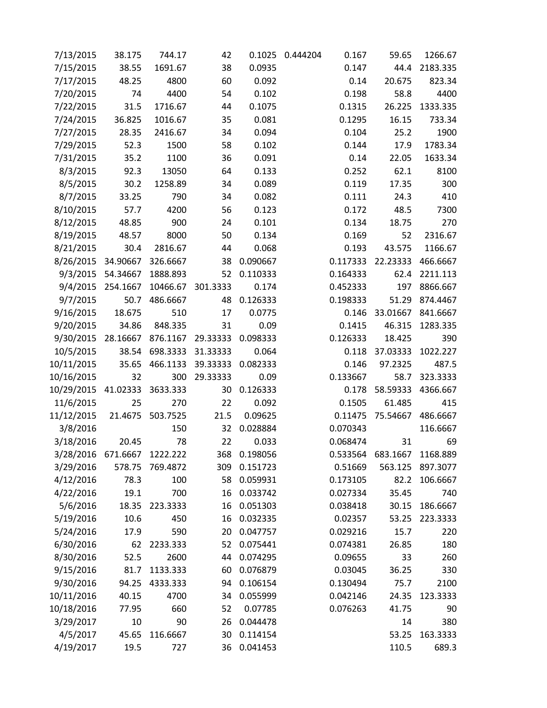| 7/13/2015  | 38.175   | 744.17   | 42       | 0.1025   | 0.444204 | 0.167    | 59.65    | 1266.67  |
|------------|----------|----------|----------|----------|----------|----------|----------|----------|
| 7/15/2015  | 38.55    | 1691.67  | 38       | 0.0935   |          | 0.147    | 44.4     | 2183.335 |
| 7/17/2015  | 48.25    | 4800     | 60       | 0.092    |          | 0.14     | 20.675   | 823.34   |
| 7/20/2015  | 74       | 4400     | 54       | 0.102    |          | 0.198    | 58.8     | 4400     |
| 7/22/2015  | 31.5     | 1716.67  | 44       | 0.1075   |          | 0.1315   | 26.225   | 1333.335 |
| 7/24/2015  | 36.825   | 1016.67  | 35       | 0.081    |          | 0.1295   | 16.15    | 733.34   |
| 7/27/2015  | 28.35    | 2416.67  | 34       | 0.094    |          | 0.104    | 25.2     | 1900     |
| 7/29/2015  | 52.3     | 1500     | 58       | 0.102    |          | 0.144    | 17.9     | 1783.34  |
| 7/31/2015  | 35.2     | 1100     | 36       | 0.091    |          | 0.14     | 22.05    | 1633.34  |
| 8/3/2015   | 92.3     | 13050    | 64       | 0.133    |          | 0.252    | 62.1     | 8100     |
| 8/5/2015   | 30.2     | 1258.89  | 34       | 0.089    |          | 0.119    | 17.35    | 300      |
| 8/7/2015   | 33.25    | 790      | 34       | 0.082    |          | 0.111    | 24.3     | 410      |
| 8/10/2015  | 57.7     | 4200     | 56       | 0.123    |          | 0.172    | 48.5     | 7300     |
| 8/12/2015  | 48.85    | 900      | 24       | 0.101    |          | 0.134    | 18.75    | 270      |
| 8/19/2015  | 48.57    | 8000     | 50       | 0.134    |          | 0.169    | 52       | 2316.67  |
| 8/21/2015  | 30.4     | 2816.67  | 44       | 0.068    |          | 0.193    | 43.575   | 1166.67  |
| 8/26/2015  | 34.90667 | 326.6667 | 38       | 0.090667 |          | 0.117333 | 22.23333 | 466.6667 |
| 9/3/2015   | 54.34667 | 1888.893 | 52       | 0.110333 |          | 0.164333 | 62.4     | 2211.113 |
| 9/4/2015   | 254.1667 | 10466.67 | 301.3333 | 0.174    |          | 0.452333 | 197      | 8866.667 |
| 9/7/2015   | 50.7     | 486.6667 | 48       | 0.126333 |          | 0.198333 | 51.29    | 874.4467 |
| 9/16/2015  | 18.675   | 510      | 17       | 0.0775   |          | 0.146    | 33.01667 | 841.6667 |
| 9/20/2015  | 34.86    | 848.335  | 31       | 0.09     |          | 0.1415   | 46.315   | 1283.335 |
| 9/30/2015  | 28.16667 | 876.1167 | 29.33333 | 0.098333 |          | 0.126333 | 18.425   | 390      |
| 10/5/2015  | 38.54    | 698.3333 | 31.33333 | 0.064    |          | 0.118    | 37.03333 | 1022.227 |
| 10/11/2015 | 35.65    | 466.1133 | 39.33333 | 0.082333 |          | 0.146    | 97.2325  | 487.5    |
| 10/16/2015 | 32       | 300      | 29.33333 | 0.09     |          | 0.133667 | 58.7     | 323.3333 |
| 10/29/2015 | 41.02333 | 3633.333 | 30       | 0.126333 |          | 0.178    | 58.59333 | 4366.667 |
| 11/6/2015  | 25       | 270      | 22       | 0.092    |          | 0.1505   | 61.485   | 415      |
| 11/12/2015 | 21.4675  | 503.7525 | 21.5     | 0.09625  |          | 0.11475  | 75.54667 | 486.6667 |
| 3/8/2016   |          | 150      | 32       | 0.028884 |          | 0.070343 |          | 116.6667 |
| 3/18/2016  | 20.45    | 78       | 22       | 0.033    |          | 0.068474 | 31       | 69       |
| 3/28/2016  | 671.6667 | 1222.222 | 368      | 0.198056 |          | 0.533564 | 683.1667 | 1168.889 |
| 3/29/2016  | 578.75   | 769.4872 | 309      | 0.151723 |          | 0.51669  | 563.125  | 897.3077 |
| 4/12/2016  | 78.3     | 100      | 58       | 0.059931 |          | 0.173105 | 82.2     | 106.6667 |
| 4/22/2016  | 19.1     | 700      | 16       | 0.033742 |          | 0.027334 | 35.45    | 740      |
| 5/6/2016   | 18.35    | 223.3333 | 16       | 0.051303 |          | 0.038418 | 30.15    | 186.6667 |
| 5/19/2016  | 10.6     | 450      | 16       | 0.032335 |          | 0.02357  | 53.25    | 223.3333 |
| 5/24/2016  | 17.9     | 590      | 20       | 0.047757 |          | 0.029216 | 15.7     | 220      |
| 6/30/2016  | 62       | 2233.333 | 52       | 0.075441 |          | 0.074381 | 26.85    | 180      |
| 8/30/2016  | 52.5     | 2600     | 44       | 0.074295 |          | 0.09655  | 33       | 260      |
| 9/15/2016  | 81.7     | 1133.333 | 60       | 0.076879 |          | 0.03045  | 36.25    | 330      |
| 9/30/2016  | 94.25    | 4333.333 | 94       | 0.106154 |          | 0.130494 | 75.7     | 2100     |
| 10/11/2016 | 40.15    | 4700     | 34       | 0.055999 |          | 0.042146 | 24.35    | 123.3333 |
| 10/18/2016 | 77.95    | 660      | 52       | 0.07785  |          | 0.076263 | 41.75    | 90       |
| 3/29/2017  | 10       | 90       | 26       | 0.044478 |          |          | 14       | 380      |
| 4/5/2017   | 45.65    | 116.6667 | 30       | 0.114154 |          |          | 53.25    | 163.3333 |
| 4/19/2017  | 19.5     | 727      | 36       | 0.041453 |          |          | 110.5    | 689.3    |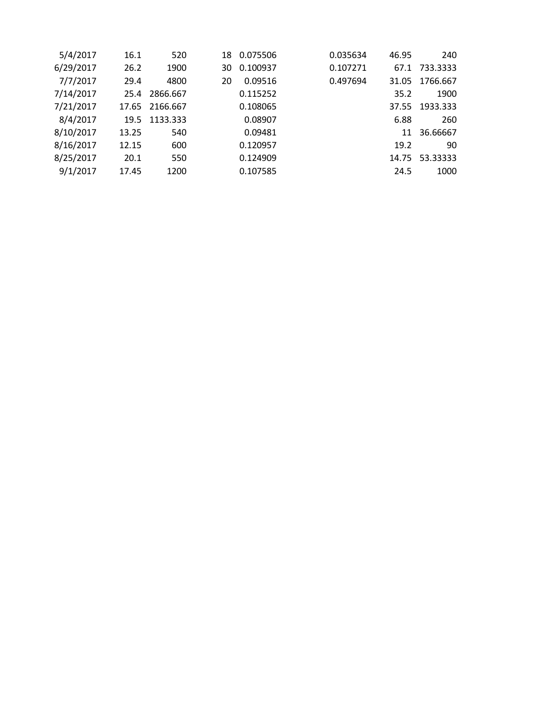| 240      | 46.95 | 0.035634 | 0.075506 | 18 | 520      | 16.1  | 5/4/2017  |
|----------|-------|----------|----------|----|----------|-------|-----------|
| 733.3333 | 67.1  | 0.107271 | 0.100937 | 30 | 1900     | 26.2  | 6/29/2017 |
| 1766.667 | 31.05 | 0.497694 | 0.09516  | 20 | 4800     | 29.4  | 7/7/2017  |
| 1900     | 35.2  |          | 0.115252 |    | 2866.667 | 25.4  | 7/14/2017 |
| 1933.333 | 37.55 |          | 0.108065 |    | 2166.667 | 17.65 | 7/21/2017 |
| 260      | 6.88  |          | 0.08907  |    | 1133.333 | 19.5  | 8/4/2017  |
| 36.66667 | 11    |          | 0.09481  |    | 540      | 13.25 | 8/10/2017 |
| 90       | 19.2  |          | 0.120957 |    | 600      | 12.15 | 8/16/2017 |
| 53.33333 | 14.75 |          | 0.124909 |    | 550      | 20.1  | 8/25/2017 |
| 1000     | 24.5  |          | 0.107585 |    | 1200     | 17.45 | 9/1/2017  |
|          |       |          |          |    |          |       |           |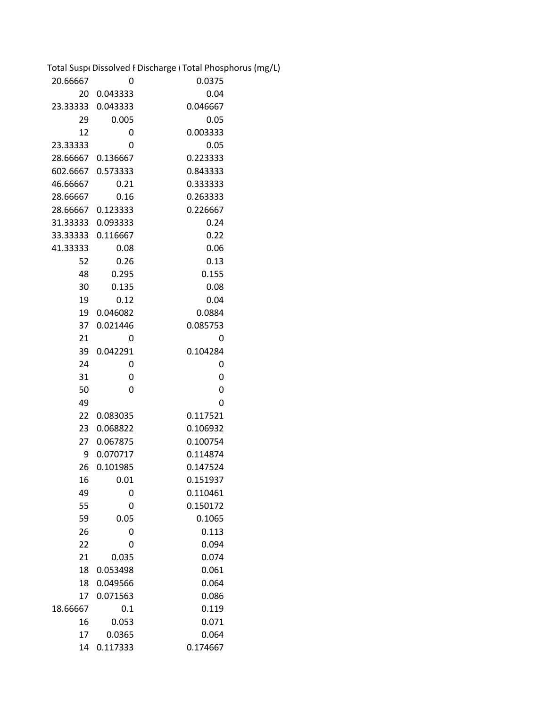|               |                     | Total Suspe Dissolved F Discharge (Total Phosphorus (mg/L) |
|---------------|---------------------|------------------------------------------------------------|
| 20.66667<br>0 |                     | 0.0375                                                     |
| 20            | 0.043333            | 0.04                                                       |
|               | 23.33333   0.043333 | 0.046667                                                   |
| 29            | 0.005               | 0.05                                                       |
| 12            | 0                   | 0.003333                                                   |
| 23.33333      | 0                   | 0.05                                                       |
| 28.66667      | 0.136667            | 0.223333                                                   |
| 602.6667      | 0.573333            | 0.843333                                                   |
| 46.66667      | 0.21                | 0.333333                                                   |
| 28.66667      | 0.16                | 0.263333                                                   |
|               | 28.66667 0.123333   | 0.226667                                                   |
|               | 31.33333   0.093333 | 0.24                                                       |
|               | 33.33333   0.116667 | 0.22                                                       |
| 41.33333      | 0.08                | 0.06                                                       |
| 52            | 0.26                | 0.13                                                       |
| 48            | 0.295               | 0.155                                                      |
| 30            | 0.135               | 0.08                                                       |
| 19            | 0.12                | 0.04                                                       |
| 19            | 0.046082            | 0.0884                                                     |
| 37            | 0.021446            | 0.085753                                                   |
| 21            | 0                   | 0                                                          |
| 39            | 0.042291            | 0.104284                                                   |
| 24            | 0                   | 0                                                          |
| 31            | 0                   | 0                                                          |
| 50            | 0                   | 0                                                          |
| 49            |                     | 0                                                          |
| 22            | 0.083035            | 0.117521                                                   |
| 23            | 0.068822            | 0.106932                                                   |
| 27            | 0.067875            | 0.100754                                                   |
| 9             | 0.070717            | 0.114874                                                   |
| 26            | 0.101985            | 0.147524                                                   |
| 16            | 0.01                | 0.151937                                                   |
| 49            | 0                   | 0.110461                                                   |
| 55            | 0                   | 0.150172                                                   |
| 59            | 0.05                | 0.1065                                                     |
| 26            | 0                   | 0.113                                                      |
| 22            | 0                   | 0.094                                                      |
| 21            | 0.035               | 0.074                                                      |
| 18            | 0.053498            | 0.061                                                      |
| 18            | 0.049566            | 0.064                                                      |
| 17            | 0.071563            | 0.086                                                      |
| 18.66667      | 0.1                 | 0.119                                                      |
| 16            | 0.053               | 0.071                                                      |
| 17            | 0.0365              | 0.064                                                      |
| 14            | 0.117333            | 0.174667                                                   |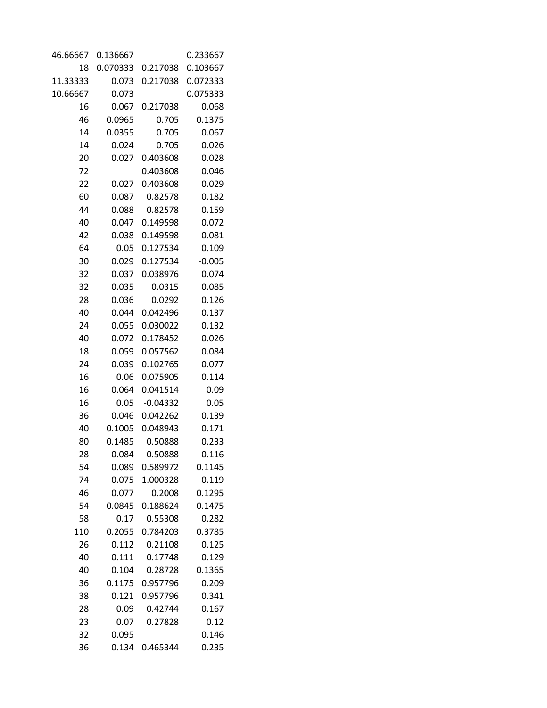| 46.66667 | 0.136667 |            | 0.233667 |
|----------|----------|------------|----------|
| 18       | 0.070333 | 0.217038   | 0.103667 |
| 11.33333 | 0.073    | 0.217038   | 0.072333 |
| 10.66667 | 0.073    |            | 0.075333 |
| 16       | 0.067    | 0.217038   | 0.068    |
| 46       | 0.0965   | 0.705      | 0.1375   |
| 14       | 0.0355   | 0.705      | 0.067    |
| 14       | 0.024    | 0.705      | 0.026    |
| 20       | 0.027    | 0.403608   | 0.028    |
| 72       |          | 0.403608   | 0.046    |
| 22       | 0.027    | 0.403608   | 0.029    |
| 60       | 0.087    | 0.82578    | 0.182    |
| 44       | 0.088    | 0.82578    | 0.159    |
| 40       | 0.047    | 0.149598   | 0.072    |
| 42       | 0.038    | 0.149598   | 0.081    |
| 64       | 0.05     | 0.127534   | 0.109    |
| 30       | 0.029    | 0.127534   | $-0.005$ |
| 32       | 0.037    | 0.038976   | 0.074    |
| 32       | 0.035    | 0.0315     | 0.085    |
| 28       | 0.036    | 0.0292     | 0.126    |
| 40       | 0.044    | 0.042496   | 0.137    |
| 24       | 0.055    | 0.030022   | 0.132    |
| 40       | 0.072    | 0.178452   | 0.026    |
| 18       | 0.059    | 0.057562   | 0.084    |
| 24       | 0.039    | 0.102765   | 0.077    |
| 16       | 0.06     | 0.075905   | 0.114    |
| 16       | 0.064    | 0.041514   | 0.09     |
| 16       | 0.05     | $-0.04332$ | 0.05     |
| 36       | 0.046    | 0.042262   | 0.139    |
| 40       | 0.1005   | 0.048943   | 0.171    |
| 80       | 0.1485   | 0.50888    | 0.233    |
| 28       | 0.084    | 0.50888    | 0.116    |
| 54       | 0.089    | 0.589972   | 0.1145   |
| 74       | 0.075    | 1.000328   | 0.119    |
| 46       | 0.077    | 0.2008     | 0.1295   |
| 54       | 0.0845   | 0.188624   | 0.1475   |
| 58       | 0.17     | 0.55308    | 0.282    |
| 110      | 0.2055   | 0.784203   | 0.3785   |
| 26       | 0.112    | 0.21108    | 0.125    |
| 40       | 0.111    | 0.17748    | 0.129    |
| 40       | 0.104    | 0.28728    | 0.1365   |
| 36       | 0.1175   | 0.957796   | 0.209    |
| 38       | 0.121    | 0.957796   | 0.341    |
| 28       | 0.09     | 0.42744    | 0.167    |
| 23       | 0.07     | 0.27828    | 0.12     |
| 32       | 0.095    |            | 0.146    |
| 36       | 0.134    | 0.465344   | 0.235    |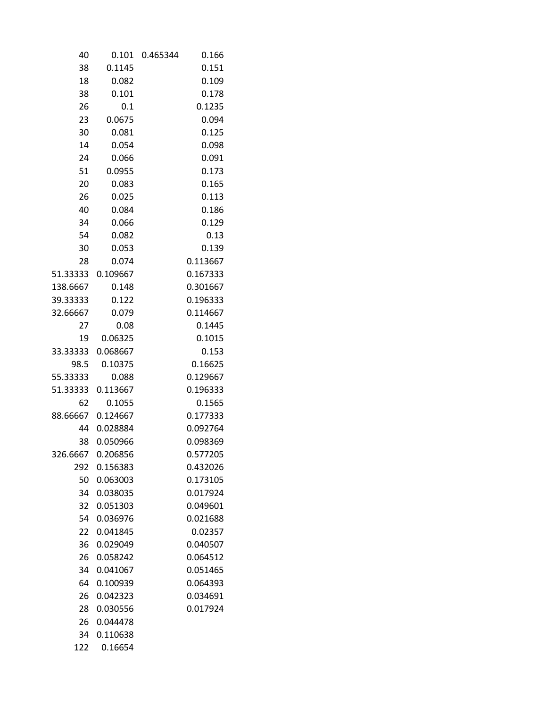| 40       | 0.101    | 0.465344 | 0.166    |
|----------|----------|----------|----------|
| 38       | 0.1145   |          | 0.151    |
| 18       | 0.082    |          | 0.109    |
| 38       | 0.101    |          | 0.178    |
| 26       | 0.1      |          | 0.1235   |
| 23       | 0.0675   |          | 0.094    |
| 30       | 0.081    |          | 0.125    |
| 14       | 0.054    |          | 0.098    |
| 24       | 0.066    |          | 0.091    |
| 51       | 0.0955   |          | 0.173    |
| 20       | 0.083    |          | 0.165    |
| 26       | 0.025    |          | 0.113    |
| 40       | 0.084    |          | 0.186    |
| 34       | 0.066    |          | 0.129    |
| 54       | 0.082    |          | 0.13     |
| 30       | 0.053    |          | 0.139    |
| 28       | 0.074    |          | 0.113667 |
| 51.33333 | 0.109667 |          | 0.167333 |
| 138.6667 | 0.148    |          | 0.301667 |
| 39.33333 | 0.122    |          | 0.196333 |
| 32.66667 | 0.079    |          | 0.114667 |
| 27       | 0.08     |          | 0.1445   |
| 19       | 0.06325  |          | 0.1015   |
| 33.33333 | 0.068667 |          | 0.153    |
| 98.5     | 0.10375  |          | 0.16625  |
| 55.33333 | 0.088    |          | 0.129667 |
| 51.33333 | 0.113667 |          | 0.196333 |
| 62       | 0.1055   |          | 0.1565   |
| 88.66667 | 0.124667 |          | 0.177333 |
| 44       | 0.028884 |          | 0.092764 |
| 38       | 0.050966 |          | 0.098369 |
| 326.6667 | 0.206856 |          | 0.577205 |
| 292      | 0.156383 |          | 0.432026 |
| 50       | 0.063003 |          | 0.173105 |
| 34       | 0.038035 |          | 0.017924 |
| 32       | 0.051303 |          | 0.049601 |
| 54       | 0.036976 |          | 0.021688 |
| 22       | 0.041845 |          | 0.02357  |
| 36       | 0.029049 |          | 0.040507 |
| 26       | 0.058242 |          | 0.064512 |
| 34       | 0.041067 |          | 0.051465 |
| 64       | 0.100939 |          | 0.064393 |
| 26       | 0.042323 |          | 0.034691 |
| 28       | 0.030556 |          | 0.017924 |
| 26       | 0.044478 |          |          |
| 34       | 0.110638 |          |          |
| 122      | 0.16654  |          |          |
|          |          |          |          |